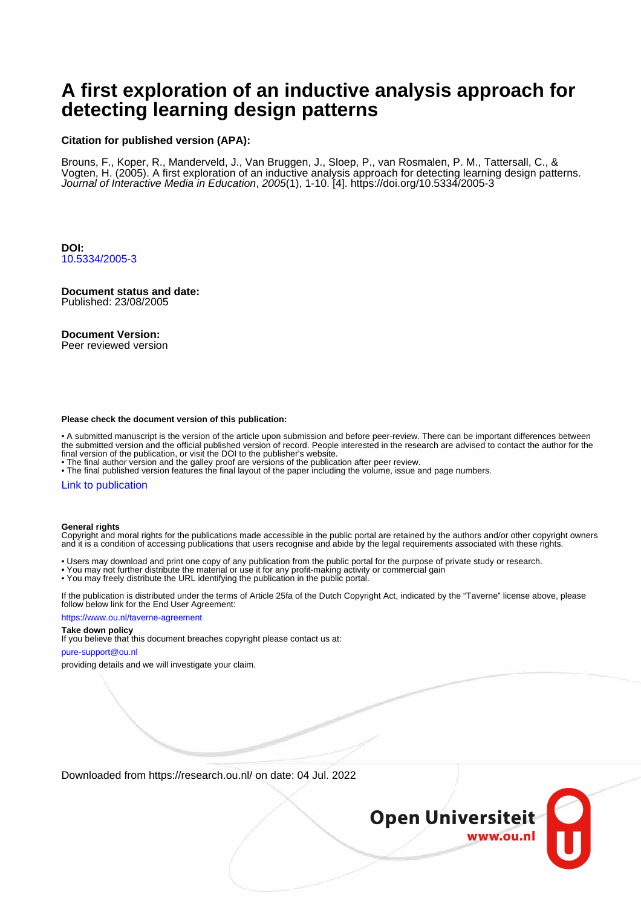## **A first exploration of an inductive analysis approach for detecting learning design patterns**

#### **Citation for published version (APA):**

Brouns, F., Koper, R., Manderveld, J., Van Bruggen, J., Sloep, P., van Rosmalen, P. M., Tattersall, C., & Vogten, H. (2005). A first exploration of an inductive analysis approach for detecting learning design patterns. Journal of Interactive Media in Education, 2005(1), 1-10. [4].<https://doi.org/10.5334/2005-3>

**DOI:** [10.5334/2005-3](https://doi.org/10.5334/2005-3)

### **Document status and date:**

Published: 23/08/2005

#### **Document Version:**

Peer reviewed version

#### **Please check the document version of this publication:**

• A submitted manuscript is the version of the article upon submission and before peer-review. There can be important differences between the submitted version and the official published version of record. People interested in the research are advised to contact the author for the final version of the publication, or visit the DOI to the publisher's website.

• The final author version and the galley proof are versions of the publication after peer review.

• The final published version features the final layout of the paper including the volume, issue and page numbers.

#### [Link to publication](https://research.ou.nl/en/publications/6ea2d5d3-921f-4075-bd1e-8e48c90d9ccb)

#### **General rights**

Copyright and moral rights for the publications made accessible in the public portal are retained by the authors and/or other copyright owners and it is a condition of accessing publications that users recognise and abide by the legal requirements associated with these rights.

- Users may download and print one copy of any publication from the public portal for the purpose of private study or research.
- You may not further distribute the material or use it for any profit-making activity or commercial gain
- You may freely distribute the URL identifying the publication in the public portal.

If the publication is distributed under the terms of Article 25fa of the Dutch Copyright Act, indicated by the "Taverne" license above, please follow below link for the End User Agreement:

#### https://www.ou.nl/taverne-agreement

#### **Take down policy**

If you believe that this document breaches copyright please contact us at:

#### pure-support@ou.nl

providing details and we will investigate your claim.

Downloaded from https://research.ou.nl/ on date: 04 Jul. 2022

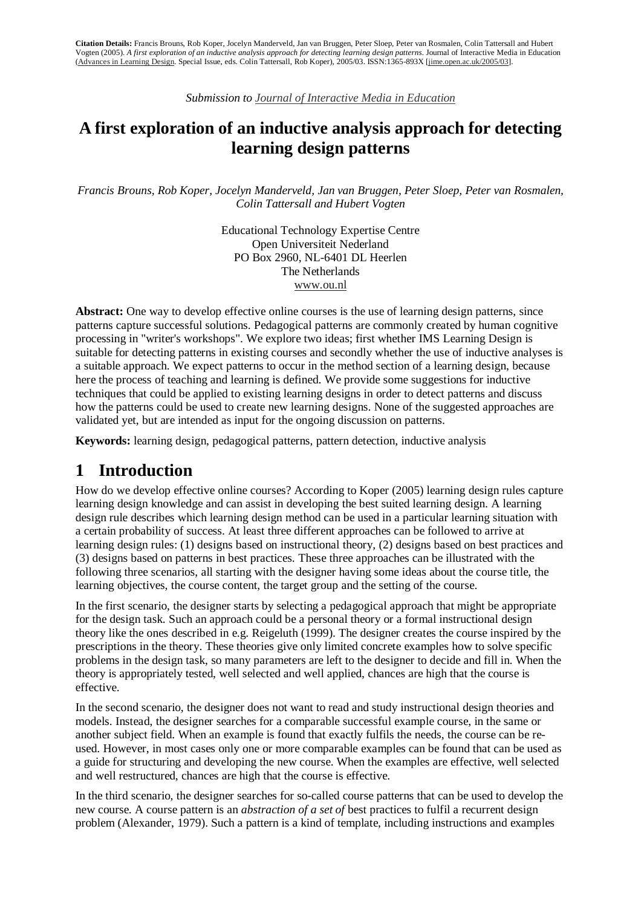*Submission to Journal of Interactive Media in Education*

### **A first exploration of an inductive analysis approach for detecting learning design patterns**

*Francis Brouns, Rob Koper, Jocelyn Manderveld, Jan van Bruggen, Peter Sloep, Peter van Rosmalen, Colin Tattersall and Hubert Vogten* 

> Educational Technology Expertise Centre Open Universiteit Nederland PO Box 2960, NL-6401 DL Heerlen The Netherlands www.ou.nl

**Abstract:** One way to develop effective online courses is the use of learning design patterns, since patterns capture successful solutions. Pedagogical patterns are commonly created by human cognitive processing in "writer's workshops". We explore two ideas; first whether IMS Learning Design is suitable for detecting patterns in existing courses and secondly whether the use of inductive analyses is a suitable approach. We expect patterns to occur in the method section of a learning design, because here the process of teaching and learning is defined. We provide some suggestions for inductive techniques that could be applied to existing learning designs in order to detect patterns and discuss how the patterns could be used to create new learning designs. None of the suggested approaches are validated yet, but are intended as input for the ongoing discussion on patterns.

**Keywords:** learning design, pedagogical patterns, pattern detection, inductive analysis

### **1 Introduction**

How do we develop effective online courses? According to Koper (2005) learning design rules capture learning design knowledge and can assist in developing the best suited learning design. A learning design rule describes which learning design method can be used in a particular learning situation with a certain probability of success. At least three different approaches can be followed to arrive at learning design rules: (1) designs based on instructional theory, (2) designs based on best practices and (3) designs based on patterns in best practices. These three approaches can be illustrated with the following three scenarios, all starting with the designer having some ideas about the course title, the learning objectives, the course content, the target group and the setting of the course.

In the first scenario, the designer starts by selecting a pedagogical approach that might be appropriate for the design task. Such an approach could be a personal theory or a formal instructional design theory like the ones described in e.g. Reigeluth (1999). The designer creates the course inspired by the prescriptions in the theory. These theories give only limited concrete examples how to solve specific problems in the design task, so many parameters are left to the designer to decide and fill in. When the theory is appropriately tested, well selected and well applied, chances are high that the course is effective.

In the second scenario, the designer does not want to read and study instructional design theories and models. Instead, the designer searches for a comparable successful example course, in the same or another subject field. When an example is found that exactly fulfils the needs, the course can be reused. However, in most cases only one or more comparable examples can be found that can be used as a guide for structuring and developing the new course. When the examples are effective, well selected and well restructured, chances are high that the course is effective.

In the third scenario, the designer searches for so-called course patterns that can be used to develop the new course. A course pattern is an *abstraction of a set of* best practices to fulfil a recurrent design problem (Alexander, 1979). Such a pattern is a kind of template, including instructions and examples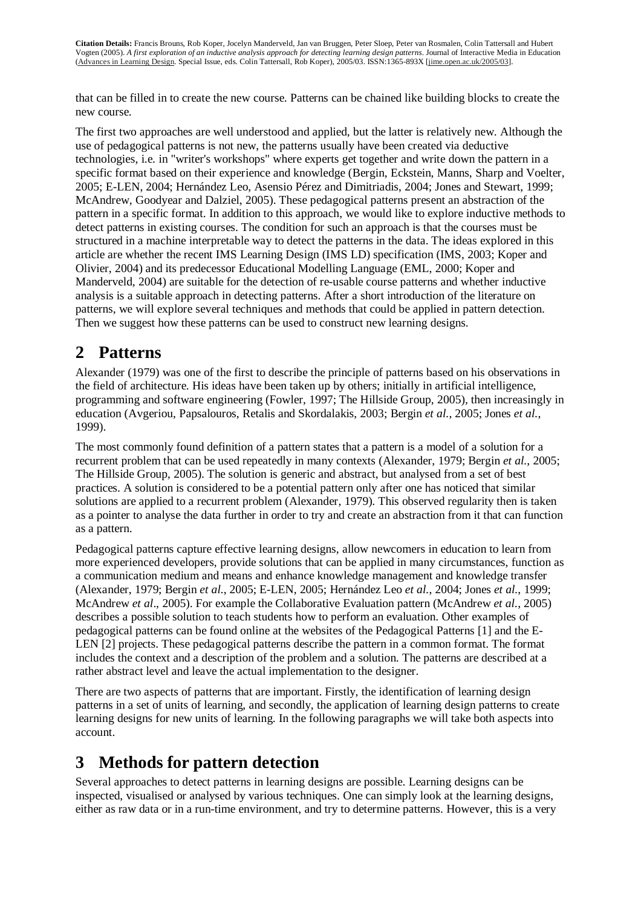that can be filled in to create the new course. Patterns can be chained like building blocks to create the new course.

The first two approaches are well understood and applied, but the latter is relatively new. Although the use of pedagogical patterns is not new, the patterns usually have been created via deductive technologies, i.e. in "writer's workshops" where experts get together and write down the pattern in a specific format based on their experience and knowledge (Bergin, Eckstein, Manns, Sharp and Voelter, 2005; E-LEN, 2004; Hernández Leo, Asensio Pérez and Dimitriadis, 2004; Jones and Stewart, 1999; McAndrew, Goodyear and Dalziel, 2005). These pedagogical patterns present an abstraction of the pattern in a specific format. In addition to this approach, we would like to explore inductive methods to detect patterns in existing courses. The condition for such an approach is that the courses must be structured in a machine interpretable way to detect the patterns in the data. The ideas explored in this article are whether the recent IMS Learning Design (IMS LD) specification (IMS, 2003; Koper and Olivier, 2004) and its predecessor Educational Modelling Language (EML, 2000; Koper and Manderveld, 2004) are suitable for the detection of re-usable course patterns and whether inductive analysis is a suitable approach in detecting patterns. After a short introduction of the literature on patterns, we will explore several techniques and methods that could be applied in pattern detection. Then we suggest how these patterns can be used to construct new learning designs.

## **2 Patterns**

Alexander (1979) was one of the first to describe the principle of patterns based on his observations in the field of architecture. His ideas have been taken up by others; initially in artificial intelligence, programming and software engineering (Fowler, 1997; The Hillside Group, 2005), then increasingly in education (Avgeriou, Papsalouros, Retalis and Skordalakis, 2003; Bergin *et al.*, 2005; Jones *et al.*, 1999).

The most commonly found definition of a pattern states that a pattern is a model of a solution for a recurrent problem that can be used repeatedly in many contexts (Alexander, 1979; Bergin *et al.*, 2005; The Hillside Group, 2005). The solution is generic and abstract, but analysed from a set of best practices. A solution is considered to be a potential pattern only after one has noticed that similar solutions are applied to a recurrent problem (Alexander, 1979). This observed regularity then is taken as a pointer to analyse the data further in order to try and create an abstraction from it that can function as a pattern.

Pedagogical patterns capture effective learning designs, allow newcomers in education to learn from more experienced developers, provide solutions that can be applied in many circumstances, function as a communication medium and means and enhance knowledge management and knowledge transfer (Alexander, 1979; Bergin *et al.*, 2005; E-LEN, 2005; Hernández Leo *et al.*, 2004; Jones *et al.*, 1999; McAndrew *et al*., 2005). For example the Collaborative Evaluation pattern (McAndrew *et al.*, 2005) describes a possible solution to teach students how to perform an evaluation. Other examples of pedagogical patterns can be found online at the websites of the Pedagogical Patterns [1] and the E-LEN [2] projects. These pedagogical patterns describe the pattern in a common format. The format includes the context and a description of the problem and a solution. The patterns are described at a rather abstract level and leave the actual implementation to the designer.

There are two aspects of patterns that are important. Firstly, the identification of learning design patterns in a set of units of learning, and secondly, the application of learning design patterns to create learning designs for new units of learning. In the following paragraphs we will take both aspects into account.

## **3 Methods for pattern detection**

Several approaches to detect patterns in learning designs are possible. Learning designs can be inspected, visualised or analysed by various techniques. One can simply look at the learning designs, either as raw data or in a run-time environment, and try to determine patterns. However, this is a very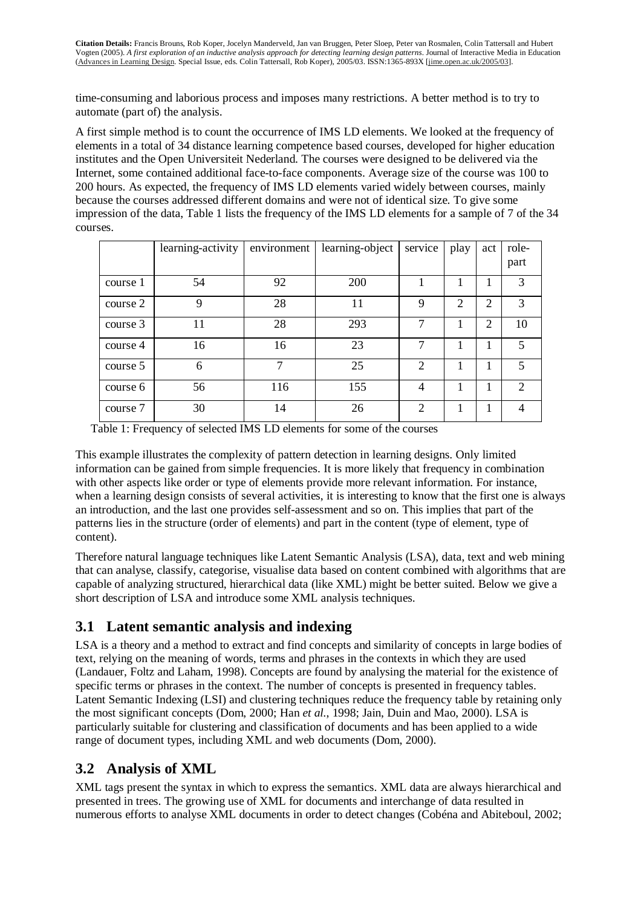time-consuming and laborious process and imposes many restrictions. A better method is to try to automate (part of) the analysis.

A first simple method is to count the occurrence of IMS LD elements. We looked at the frequency of elements in a total of 34 distance learning competence based courses, developed for higher education institutes and the Open Universiteit Nederland. The courses were designed to be delivered via the Internet, some contained additional face-to-face components. Average size of the course was 100 to 200 hours. As expected, the frequency of IMS LD elements varied widely between courses, mainly because the courses addressed different domains and were not of identical size. To give some impression of the data, Table 1 lists the frequency of the IMS LD elements for a sample of 7 of the 34 courses.

|          | learning-activity | environment | learning-object | service                     | play                        | act            | role-                       |
|----------|-------------------|-------------|-----------------|-----------------------------|-----------------------------|----------------|-----------------------------|
|          |                   |             |                 |                             |                             |                | part                        |
| course 1 | 54                | 92          | 200             |                             |                             |                | 3                           |
| course 2 | 9                 | 28          | 11              | 9                           | $\mathcal{D}_{\mathcal{L}}$ | $\overline{2}$ | 3                           |
| course 3 | 11                | 28          | 293             | 7                           | н.                          | 2              | 10                          |
| course 4 | 16                | 16          | 23              | 7                           |                             |                | 5                           |
| course 5 | 6                 | 7           | 25              | $\overline{2}$              |                             |                | 5                           |
| course 6 | 56                | 116         | 155             | 4                           |                             | 1              | $\mathcal{D}_{\mathcal{L}}$ |
| course 7 | 30                | 14          | 26              | $\mathcal{D}_{\mathcal{L}}$ |                             |                | 4                           |

Table 1: Frequency of selected IMS LD elements for some of the courses

This example illustrates the complexity of pattern detection in learning designs. Only limited information can be gained from simple frequencies. It is more likely that frequency in combination with other aspects like order or type of elements provide more relevant information. For instance, when a learning design consists of several activities, it is interesting to know that the first one is always an introduction, and the last one provides self-assessment and so on. This implies that part of the patterns lies in the structure (order of elements) and part in the content (type of element, type of content).

Therefore natural language techniques like Latent Semantic Analysis (LSA), data, text and web mining that can analyse, classify, categorise, visualise data based on content combined with algorithms that are capable of analyzing structured, hierarchical data (like XML) might be better suited. Below we give a short description of LSA and introduce some XML analysis techniques.

### **3.1 Latent semantic analysis and indexing**

LSA is a theory and a method to extract and find concepts and similarity of concepts in large bodies of text, relying on the meaning of words, terms and phrases in the contexts in which they are used (Landauer, Foltz and Laham, 1998). Concepts are found by analysing the material for the existence of specific terms or phrases in the context. The number of concepts is presented in frequency tables. Latent Semantic Indexing (LSI) and clustering techniques reduce the frequency table by retaining only the most significant concepts (Dom, 2000; Han *et al.*, 1998; Jain, Duin and Mao, 2000). LSA is particularly suitable for clustering and classification of documents and has been applied to a wide range of document types, including XML and web documents (Dom, 2000).

### **3.2 Analysis of XML**

XML tags present the syntax in which to express the semantics. XML data are always hierarchical and presented in trees. The growing use of XML for documents and interchange of data resulted in numerous efforts to analyse XML documents in order to detect changes (Cobéna and Abiteboul, 2002;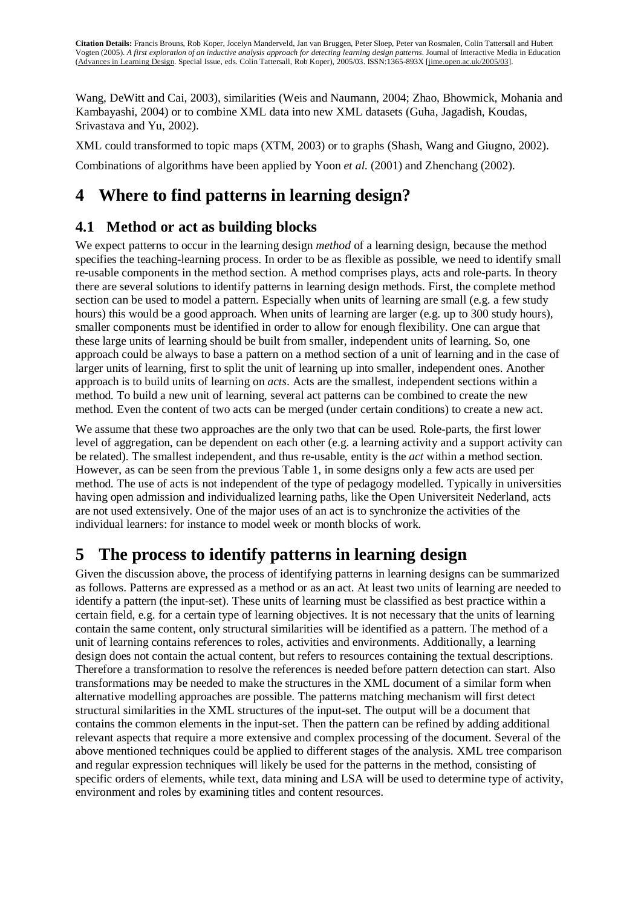Wang, DeWitt and Cai, 2003), similarities (Weis and Naumann, 2004; Zhao, Bhowmick, Mohania and Kambayashi, 2004) or to combine XML data into new XML datasets (Guha, Jagadish, Koudas, Srivastava and Yu, 2002).

XML could transformed to topic maps (XTM, 2003) or to graphs (Shash, Wang and Giugno, 2002). Combinations of algorithms have been applied by Yoon *et al.* (2001) and Zhenchang (2002).

# **4 Where to find patterns in learning design?**

### **4.1 Method or act as building blocks**

We expect patterns to occur in the learning design *method* of a learning design, because the method specifies the teaching-learning process. In order to be as flexible as possible, we need to identify small re-usable components in the method section. A method comprises plays, acts and role-parts. In theory there are several solutions to identify patterns in learning design methods. First, the complete method section can be used to model a pattern. Especially when units of learning are small (e.g. a few study hours) this would be a good approach. When units of learning are larger (e.g. up to 300 study hours), smaller components must be identified in order to allow for enough flexibility. One can argue that these large units of learning should be built from smaller, independent units of learning. So, one approach could be always to base a pattern on a method section of a unit of learning and in the case of larger units of learning, first to split the unit of learning up into smaller, independent ones. Another approach is to build units of learning on *acts*. Acts are the smallest, independent sections within a method. To build a new unit of learning, several act patterns can be combined to create the new method. Even the content of two acts can be merged (under certain conditions) to create a new act.

We assume that these two approaches are the only two that can be used. Role-parts, the first lower level of aggregation, can be dependent on each other (e.g. a learning activity and a support activity can be related). The smallest independent, and thus re-usable, entity is the *act* within a method section. However, as can be seen from the previous Table 1, in some designs only a few acts are used per method. The use of acts is not independent of the type of pedagogy modelled. Typically in universities having open admission and individualized learning paths, like the Open Universiteit Nederland, acts are not used extensively. One of the major uses of an act is to synchronize the activities of the individual learners: for instance to model week or month blocks of work.

## **5 The process to identify patterns in learning design**

Given the discussion above, the process of identifying patterns in learning designs can be summarized as follows. Patterns are expressed as a method or as an act. At least two units of learning are needed to identify a pattern (the input-set). These units of learning must be classified as best practice within a certain field, e.g. for a certain type of learning objectives. It is not necessary that the units of learning contain the same content, only structural similarities will be identified as a pattern. The method of a unit of learning contains references to roles, activities and environments. Additionally, a learning design does not contain the actual content, but refers to resources containing the textual descriptions. Therefore a transformation to resolve the references is needed before pattern detection can start. Also transformations may be needed to make the structures in the XML document of a similar form when alternative modelling approaches are possible. The patterns matching mechanism will first detect structural similarities in the XML structures of the input-set. The output will be a document that contains the common elements in the input-set. Then the pattern can be refined by adding additional relevant aspects that require a more extensive and complex processing of the document. Several of the above mentioned techniques could be applied to different stages of the analysis. XML tree comparison and regular expression techniques will likely be used for the patterns in the method, consisting of specific orders of elements, while text, data mining and LSA will be used to determine type of activity, environment and roles by examining titles and content resources.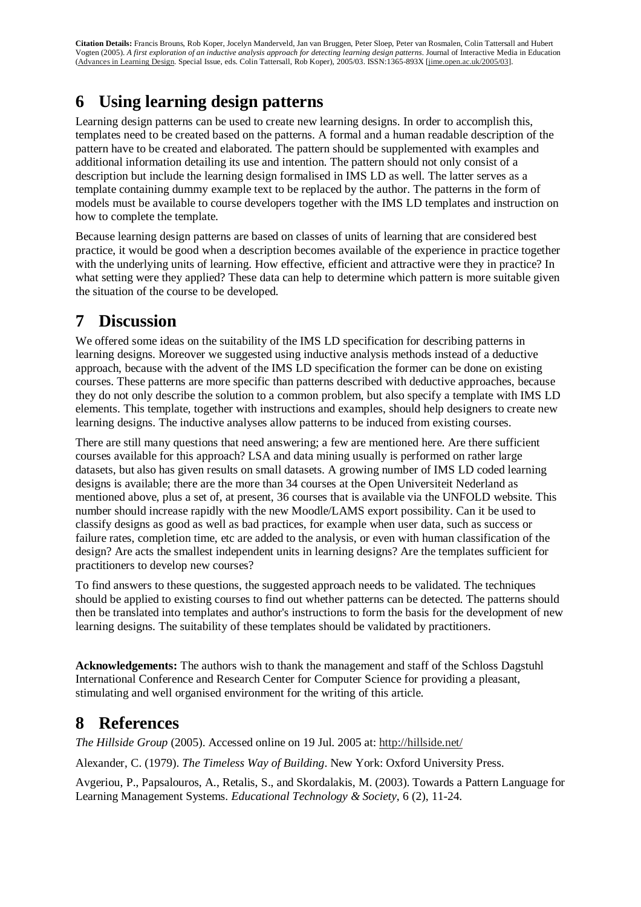## **6 Using learning design patterns**

Learning design patterns can be used to create new learning designs. In order to accomplish this, templates need to be created based on the patterns. A formal and a human readable description of the pattern have to be created and elaborated. The pattern should be supplemented with examples and additional information detailing its use and intention. The pattern should not only consist of a description but include the learning design formalised in IMS LD as well. The latter serves as a template containing dummy example text to be replaced by the author. The patterns in the form of models must be available to course developers together with the IMS LD templates and instruction on how to complete the template.

Because learning design patterns are based on classes of units of learning that are considered best practice, it would be good when a description becomes available of the experience in practice together with the underlying units of learning. How effective, efficient and attractive were they in practice? In what setting were they applied? These data can help to determine which pattern is more suitable given the situation of the course to be developed.

## **7 Discussion**

We offered some ideas on the suitability of the IMS LD specification for describing patterns in learning designs. Moreover we suggested using inductive analysis methods instead of a deductive approach, because with the advent of the IMS LD specification the former can be done on existing courses. These patterns are more specific than patterns described with deductive approaches, because they do not only describe the solution to a common problem, but also specify a template with IMS LD elements. This template, together with instructions and examples, should help designers to create new learning designs. The inductive analyses allow patterns to be induced from existing courses.

There are still many questions that need answering; a few are mentioned here. Are there sufficient courses available for this approach? LSA and data mining usually is performed on rather large datasets, but also has given results on small datasets. A growing number of IMS LD coded learning designs is available; there are the more than 34 courses at the Open Universiteit Nederland as mentioned above, plus a set of, at present, 36 courses that is available via the UNFOLD website. This number should increase rapidly with the new Moodle/LAMS export possibility. Can it be used to classify designs as good as well as bad practices, for example when user data, such as success or failure rates, completion time, etc are added to the analysis, or even with human classification of the design? Are acts the smallest independent units in learning designs? Are the templates sufficient for practitioners to develop new courses?

To find answers to these questions, the suggested approach needs to be validated. The techniques should be applied to existing courses to find out whether patterns can be detected. The patterns should then be translated into templates and author's instructions to form the basis for the development of new learning designs. The suitability of these templates should be validated by practitioners.

**Acknowledgements:** The authors wish to thank the management and staff of the Schloss Dagstuhl International Conference and Research Center for Computer Science for providing a pleasant, stimulating and well organised environment for the writing of this article.

## **8 References**

*The Hillside Group* (2005). Accessed online on 19 Jul. 2005 at: http://hillside.net/

Alexander, C. (1979). *The Timeless Way of Building*. New York: Oxford University Press.

Avgeriou, P., Papsalouros, A., Retalis, S., and Skordalakis, M. (2003). Towards a Pattern Language for Learning Management Systems. *Educational Technology & Society*, 6 (2), 11-24.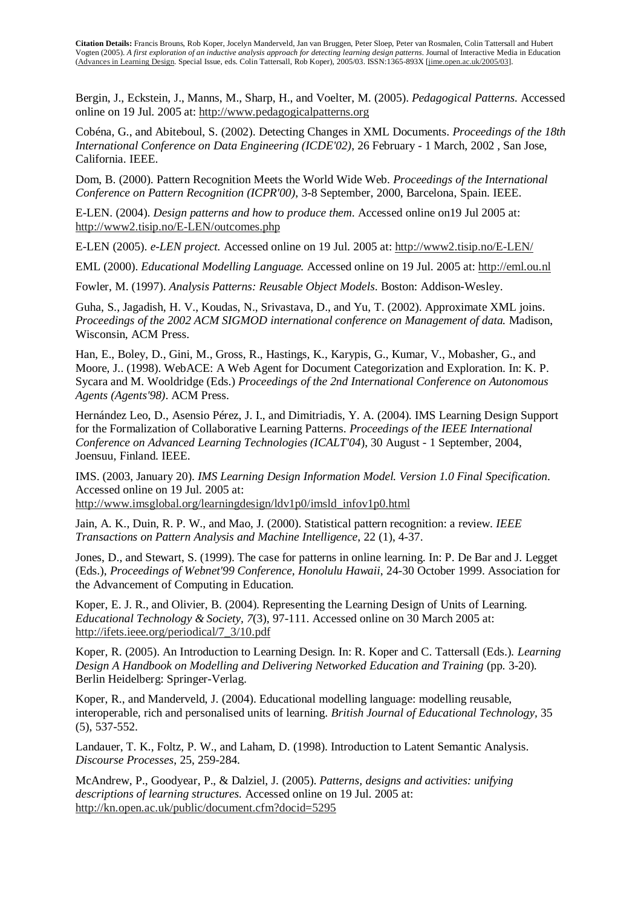Bergin, J., Eckstein, J., Manns, M., Sharp, H., and Voelter, M. (2005). *Pedagogical Patterns.* Accessed online on 19 Jul. 2005 at: http://www.pedagogicalpatterns.org

Cobéna, G., and Abiteboul, S. (2002). Detecting Changes in XML Documents. *Proceedings of the 18th International Conference on Data Engineering (ICDE'02)*, 26 February - 1 March, 2002 , San Jose, California. IEEE.

Dom, B. (2000). Pattern Recognition Meets the World Wide Web. *Proceedings of the International Conference on Pattern Recognition (ICPR'00)*, 3-8 September, 2000, Barcelona, Spain. IEEE.

E-LEN. (2004). *Design patterns and how to produce them*. Accessed online on19 Jul 2005 at: http://www2.tisip.no/E-LEN/outcomes.php

E-LEN (2005). *e-LEN project.* Accessed online on 19 Jul. 2005 at: http://www2.tisip.no/E-LEN/

EML (2000). *Educational Modelling Language.* Accessed online on 19 Jul. 2005 at: http://eml.ou.nl

Fowler, M. (1997). *Analysis Patterns: Reusable Object Models*. Boston: Addison-Wesley.

Guha, S., Jagadish, H. V., Koudas, N., Srivastava, D., and Yu, T. (2002). Approximate XML joins. *Proceedings of the 2002 ACM SIGMOD international conference on Management of data.* Madison, Wisconsin, ACM Press.

Han, E., Boley, D., Gini, M., Gross, R., Hastings, K., Karypis, G., Kumar, V., Mobasher, G., and Moore, J.. (1998). WebACE: A Web Agent for Document Categorization and Exploration. In: K. P. Sycara and M. Wooldridge (Eds.) *Proceedings of the 2nd International Conference on Autonomous Agents (Agents'98)*. ACM Press.

Hernández Leo, D., Asensio Pérez, J. I., and Dimitriadis, Y. A. (2004). IMS Learning Design Support for the Formalization of Collaborative Learning Patterns. *Proceedings of the IEEE International Conference on Advanced Learning Technologies (ICALT'04*), 30 August - 1 September, 2004, Joensuu, Finland. IEEE.

IMS. (2003, January 20). *IMS Learning Design Information Model. Version 1.0 Final Specification*. Accessed online on 19 Jul. 2005 at:

http://www.imsglobal.org/learningdesign/ldv1p0/imsld\_infov1p0.html

Jain, A. K., Duin, R. P. W., and Mao, J. (2000). Statistical pattern recognition: a review. *IEEE Transactions on Pattern Analysis and Machine Intelligence*, 22 (1), 4-37.

Jones, D., and Stewart, S. (1999). The case for patterns in online learning. In: P. De Bar and J. Legget (Eds.), *Proceedings of Webnet'99 Conference, Honolulu Hawaii*, 24-30 October 1999. Association for the Advancement of Computing in Education.

Koper, E. J. R., and Olivier, B. (2004). Representing the Learning Design of Units of Learning. *Educational Technology & Society, 7*(3), 97-111. Accessed online on 30 March 2005 at: http://ifets.ieee.org/periodical/7\_3/10.pdf

Koper, R. (2005). An Introduction to Learning Design. In: R. Koper and C. Tattersall (Eds.)*. Learning Design A Handbook on Modelling and Delivering Networked Education and Training* (pp. 3-20). Berlin Heidelberg: Springer-Verlag.

Koper, R., and Manderveld, J. (2004). Educational modelling language: modelling reusable, interoperable, rich and personalised units of learning. *British Journal of Educational Technology,* 35 (5), 537-552.

Landauer, T. K., Foltz, P. W., and Laham, D. (1998). Introduction to Latent Semantic Analysis. *Discourse Processes*, 25, 259-284.

McAndrew, P., Goodyear, P., & Dalziel, J. (2005). *Patterns, designs and activities: unifying descriptions of learning structures.* Accessed online on 19 Jul. 2005 at: http://kn.open.ac.uk/public/document.cfm?docid=5295